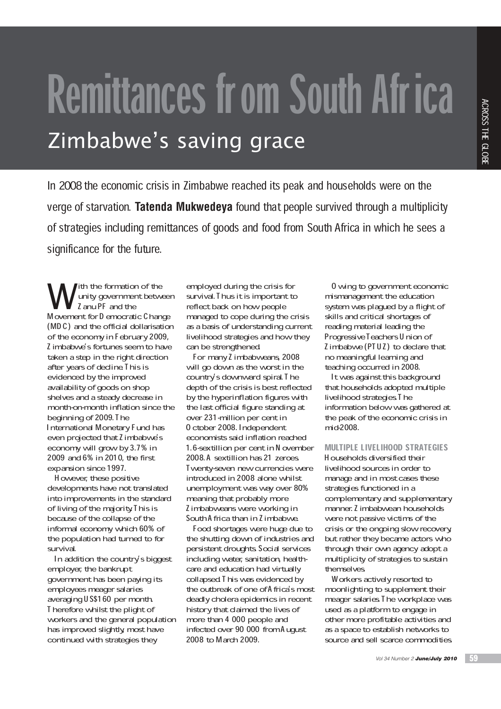# Remittances from South Africa

In 2008 the economic crisis in Zimbabwe reached its peak and households were on the verge of starvation. **Tatenda Mukwedeya** found that people survived through a multiplicity of strategies including remittances of goods and food from South Africa in which he sees a significance for the future.

With the formation of the<br>
I anu PF and the<br>
Movement for D emocratic C hange ith the formation of the unity government between Zanu PF and the (MDC) and the official dollarisation of the economy in February 2009, Zimbabwe's fortunes seem to have taken a step in the right direction after years of decline. This is evidenced by the improved availability of goods on shop shelves and a steady decrease in month-on-month inflation since the beginning of 2009. The International Monetary Fund has even projected that Z imbabwe's economy will grow by 3.7% in 2009 and 6% in 2010, the first expansion since 1997.

However, these positive developments have not translated into improvements in the standard of living of the majority I his is because of the collapse of the informal economy which 60% of the population had turned to for survival.

In addition the country's biggest employer, the bankrupt government has been paying its employees meager salaries averaging US\$160 per month. Therefore whilst the plight of workers and the general population has improved slightly, most have continued with strategies they

employed during the crisis for survival. Thus it is important to reflect back on how people managed to cope during the crisis as a basis of understanding current livelihood strategies and how they can be strengthened.

For many Zimbabweans, 2008 will go down as the worst in the country's downward spiral. The depth of the crisis is best reflected by the hyperinflation figures with the last official figure standing at over 231-million per cent in October 2008. Independent economists said inflation reached 1.6-sextillion per cent in N ovember 2008. A sextillion has 21 zeroes. Twenty-seven new currencies were introduced in 2008 alone whilst unemployment was way over 80% meaning that probably more Zimbabweans were working in South Africa than in Zimbabwe.

Food shortages were huge due to the shutting down of industries and persistent droughts. Social services including water, sanitation, healthcare and education had virtually collapsed. This was evidenced by the outbreak of one of A frica's most deadly cholera epidemics in recent history that claimed the lives of more than 4 000 people and infected over 90 000 from A ugust 2008 to March 2009.

Owing to government economic mismanagement the education system was plagued by a flight of skills and critical shortages of reading material leading the Progressive Teachers Union of Zimbabwe (PTUZ) to declare that no meaningful learning and teaching occurred in 2008.

It was against this background that households adopted multiple livelihood strategies. The information below was gathered at the peak of the economic crisis in mid-2008.

# MULTIPLE LIVELIHOOD STRATEGIES

Households diversified their livelihood sources in order to manage and in most cases these strategies functioned in a complementary and supplementary manner. Zimbabwean households were not passive victims of the crisis or the ongoing slow recovery, but rather they became actors who through their own agency adopt a multiplicity of strategies to sustain themselves. The same of the seeds and the seeds and the seeds and the seeds and the seeds a series of all leading the achievance of all leading the achievance of all sections of all leading the achievance that learning and the seeds a

Workers actively resorted to moonlighting to supplement their meager salaries. The workplace was used as a platform to engage in other more profitable activities and as a space to establish networks to source and sell scarce commodities.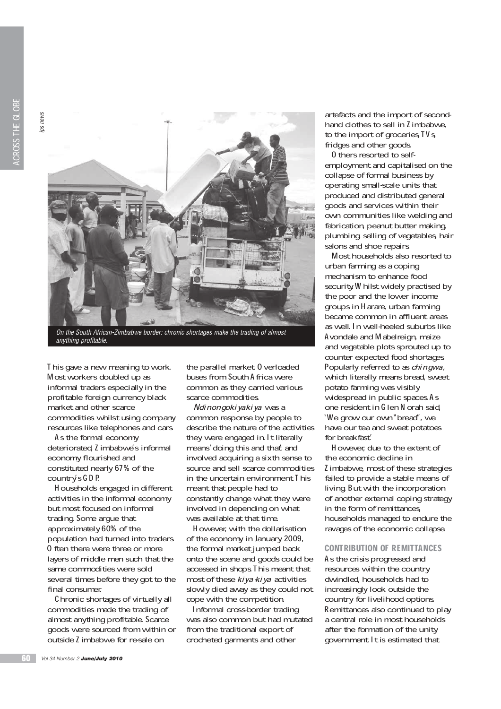**ps news** 



On the South African-Zimbabwe border: chronic shortages make the trading of almost anything profitable.

This gave a new meaning to work. Most workers doubled up as informal traders especially in the profitable foreign currency black market and other scarce commodities whilst using company resources like telephones and cars.

As the formal economy deteriorated, Zimbabwe's informal economy flourished and constituted nearly 67% of the country's GDP.

Households engaged in different activities in the informal economy but most focused on informal trading. Some argue that approximately 60% of the population had turned into traders. 0 ften there were three or more layers of middle men such that the same commodities were sold several times before they got to the final consumer.

Chronic shortages of virtually all commodities made the trading of almost anything profitable. Scarce goods were sourced from within or outside Zimbabwe for re-sale on

the parallel market 0 verloaded buses from South Africa were common as they carried various scarce commodities.

Ndinongokiyakiya was a common response by people to describe the nature of the activities they were engaged in. It literally means' doing this and that and involved acquiring a sixth sense to source and sell scarce commodities in the uncertain environment. This meant that people had to constantly change what they were involved in depending on what was available at that time.

However, with the dollarisation of the economy in January 2009, the formal market jumped back onto the scene and goods could be accessed in shops. This meant that most of these  $kiya-kiya$  activities slowly died away as they could not cope with the competition.

Informal cross-border trading was also common but had mutated from the traditional export of crocheted garments and other

artefacts and the import of secondhand clothes to sell in Zimbabwe, to the import of groceries, TVs fridges and other goods.

Others resorted to selfemployment and capitalised on the collapse of formal business by operating small-scale units that produced and distributed general goods and services within their own communities like welding and fabrication, peanut butter making, plumbing, selling of vegetables, hair salons and shoe repairs.

Most households also resorted to urban farming as a coping mechanism to enhance food security. Whilst widely practised by the poor and the lower income groups in Harare, urban farming became common in affluent areas as well. In well-heeled suburbs like Avondale and Mabelreign, maize and vegetable plots sprouted up to counter expected food shortages. Popularly referred to as *chingwa*, which literally means bread, sweet potato farming was visibly widespread in public spaces As one resident in Glen Norah said, 'We grow our own" bread", we have our tea and sweet potatoes for breakfast.'

However, due to the extent of the economic decline in Zimbabwe, most of these strategies failed to provide a stable means of living. But with the incorporation of another external coping strategy in the form of remittances, households managed to endure the ravages of the economic collapse.

# CONTRIBUTION OF REMITTANCES

As the crisis progressed and resources within the country dwindled, households had to increasingly look outside the country for livelihood options. Remittances also continued to play a central role in most households after the formation of the unity government. It is estimated that